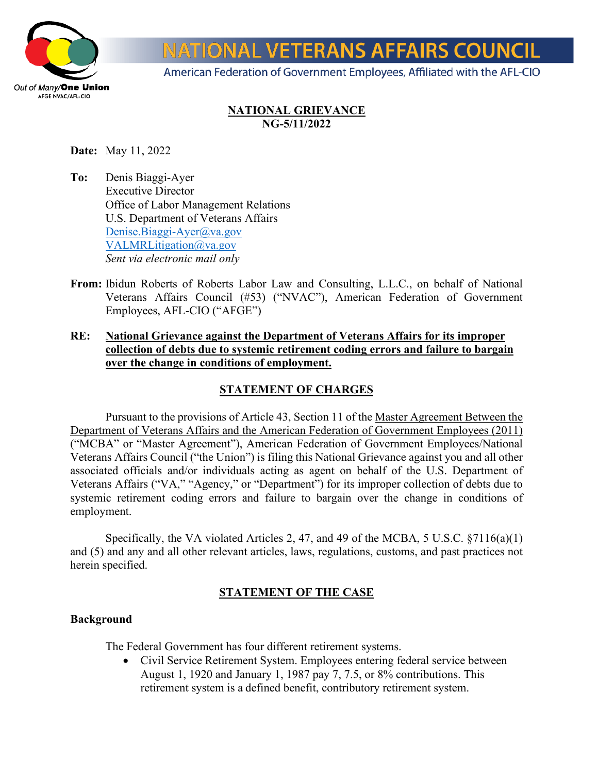

# **IONAL VETERANS AFFAIRS COUNCIL**

American Federation of Government Employees, Affiliated with the AFL-CIO

## **NATIONAL GRIEVANCE NG-5/11/2022**

**Date:** May 11, 2022

- **To:** Denis Biaggi-Ayer Executive Director Office of Labor Management Relations U.S. Department of Veterans Affairs [Denise.Biaggi-Ayer@va.gov](mailto:Denise.Biaggi-Ayer@va.gov)  [VALMRLitigation@va.gov](mailto:VALMRLitigation@va.gov) *Sent via electronic mail only*
- **From:** Ibidun Roberts of Roberts Labor Law and Consulting, L.L.C., on behalf of National Veterans Affairs Council (#53) ("NVAC"), American Federation of Government Employees, AFL-CIO ("AFGE")
- **RE: National Grievance against the Department of Veterans Affairs for its improper collection of debts due to systemic retirement coding errors and failure to bargain over the change in conditions of employment.**

# **STATEMENT OF CHARGES**

Pursuant to the provisions of Article 43, Section 11 of the Master Agreement Between the Department of Veterans Affairs and the American Federation of Government Employees (2011) ("MCBA" or "Master Agreement"), American Federation of Government Employees/National Veterans Affairs Council ("the Union") is filing this National Grievance against you and all other associated officials and/or individuals acting as agent on behalf of the U.S. Department of Veterans Affairs ("VA," "Agency," or "Department") for its improper collection of debts due to systemic retirement coding errors and failure to bargain over the change in conditions of employment.

Specifically, the VA violated Articles 2, 47, and 49 of the MCBA, 5 U.S.C. §7116(a)(1) and (5) and any and all other relevant articles, laws, regulations, customs, and past practices not herein specified.

## **STATEMENT OF THE CASE**

#### **Background**

The Federal Government has four different retirement systems.

• Civil Service Retirement System. Employees entering federal service between August 1, 1920 and January 1, 1987 pay 7, 7.5, or 8% contributions. This retirement system is a defined benefit, contributory retirement system.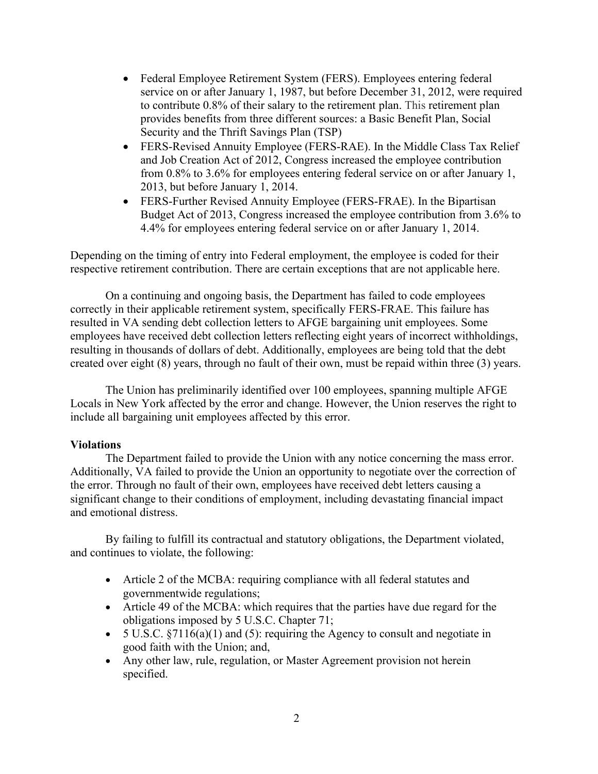- Federal Employee Retirement System (FERS). Employees entering federal service on or after January 1, 1987, but before December 31, 2012, were required to contribute 0.8% of their salary to the retirement plan. This retirement plan provides benefits from three different sources: a Basic Benefit Plan, Social Security and the Thrift Savings Plan (TSP)
- FERS-Revised Annuity Employee (FERS-RAE). In the Middle Class Tax Relief and Job Creation Act of 2012, Congress increased the employee contribution from 0.8% to 3.6% for employees entering federal service on or after January 1, 2013, but before January 1, 2014.
- FERS-Further Revised Annuity Employee (FERS-FRAE). In the Bipartisan Budget Act of 2013, Congress increased the employee contribution from 3.6% to 4.4% for employees entering federal service on or after January 1, 2014.

Depending on the timing of entry into Federal employment, the employee is coded for their respective retirement contribution. There are certain exceptions that are not applicable here.

On a continuing and ongoing basis, the Department has failed to code employees correctly in their applicable retirement system, specifically FERS-FRAE. This failure has resulted in VA sending debt collection letters to AFGE bargaining unit employees. Some employees have received debt collection letters reflecting eight years of incorrect withholdings, resulting in thousands of dollars of debt. Additionally, employees are being told that the debt created over eight (8) years, through no fault of their own, must be repaid within three (3) years.

The Union has preliminarily identified over 100 employees, spanning multiple AFGE Locals in New York affected by the error and change. However, the Union reserves the right to include all bargaining unit employees affected by this error.

#### **Violations**

The Department failed to provide the Union with any notice concerning the mass error. Additionally, VA failed to provide the Union an opportunity to negotiate over the correction of the error. Through no fault of their own, employees have received debt letters causing a significant change to their conditions of employment, including devastating financial impact and emotional distress.

By failing to fulfill its contractual and statutory obligations, the Department violated, and continues to violate, the following:

- Article 2 of the MCBA: requiring compliance with all federal statutes and governmentwide regulations;
- Article 49 of the MCBA: which requires that the parties have due regard for the obligations imposed by 5 U.S.C. Chapter 71;
- 5 U.S.C.  $\S7116(a)(1)$  and (5): requiring the Agency to consult and negotiate in good faith with the Union; and,
- Any other law, rule, regulation, or Master Agreement provision not herein specified.